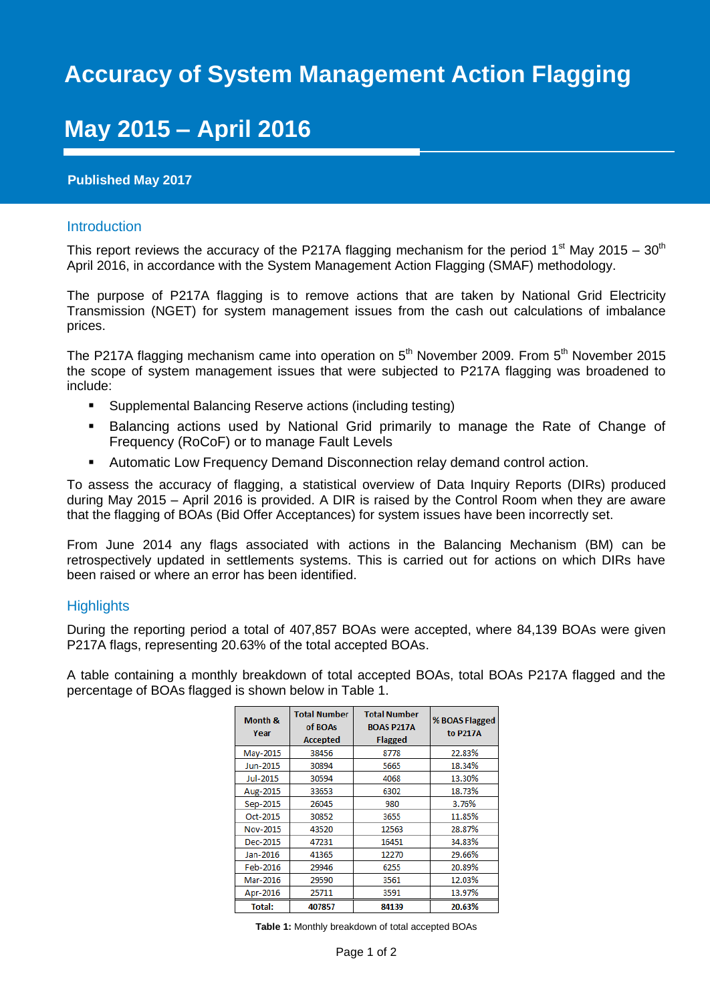# **Accuracy of System Management Action Flagging**

## **May 2015 – April 2016**

### **Published May 2017**

#### Introduction

This report reviews the accuracy of the P217A flagging mechanism for the period 1<sup>st</sup> May 2015 – 30<sup>th</sup> April 2016, in accordance with the System Management Action Flagging (SMAF) methodology.

The purpose of P217A flagging is to remove actions that are taken by National Grid Electricity Transmission (NGET) for system management issues from the cash out calculations of imbalance prices.

The P217A flagging mechanism came into operation on  $5<sup>th</sup>$  November 2009. From  $5<sup>th</sup>$  November 2015 the scope of system management issues that were subjected to P217A flagging was broadened to include:

- Supplemental Balancing Reserve actions (including testing)
- Balancing actions used by National Grid primarily to manage the Rate of Change of Frequency (RoCoF) or to manage Fault Levels
- **Automatic Low Frequency Demand Disconnection relay demand control action.**

To assess the accuracy of flagging, a statistical overview of Data Inquiry Reports (DIRs) produced during May 2015 – April 2016 is provided. A DIR is raised by the Control Room when they are aware that the flagging of BOAs (Bid Offer Acceptances) for system issues have been incorrectly set.

From June 2014 any flags associated with actions in the Balancing Mechanism (BM) can be retrospectively updated in settlements systems. This is carried out for actions on which DIRs have been raised or where an error has been identified.

### **Highlights**

During the reporting period a total of 407,857 BOAs were accepted, where 84,139 BOAs were given P217A flags, representing 20.63% of the total accepted BOAs.

A table containing a monthly breakdown of total accepted BOAs, total BOAs P217A flagged and the percentage of BOAs flagged is shown below in Table 1.

| Month &<br>Year | <b>Total Number</b><br>of BOAs<br><b>Accepted</b> | <b>Total Number</b><br><b>BOAS P217A</b><br><b>Flagged</b> | % BOAS Flagged<br>to P217A |
|-----------------|---------------------------------------------------|------------------------------------------------------------|----------------------------|
| May-2015        | 38456                                             | 8778                                                       | 22.83%                     |
| Jun-2015        | 30894                                             | 5665                                                       | 18.34%                     |
| Jul-2015        | 30594                                             | 4068                                                       | 13.30%                     |
| Aug-2015        | 33653                                             | 6302                                                       | 18.73%                     |
| Sep-2015        | 26045                                             | 980                                                        | 3.76%                      |
| Oct-2015        | 30852                                             | 3655                                                       | 11.85%                     |
| Nov-2015        | 43520                                             | 12563                                                      | 28.87%                     |
| Dec-2015        | 47231                                             | 16451                                                      | 34.83%                     |
| Jan-2016        | 41365                                             | 12270                                                      | 29.66%                     |
| Feb-2016        | 29946                                             | 6255                                                       | 20.89%                     |
| Mar-2016        | 29590                                             | 3561                                                       | 12.03%                     |
| Apr-2016        | 25711                                             | 3591                                                       | 13.97%                     |
| <b>Total:</b>   | 407857                                            | 84139                                                      | 20.63%                     |

**Table 1:** Monthly breakdown of total accepted BOAs